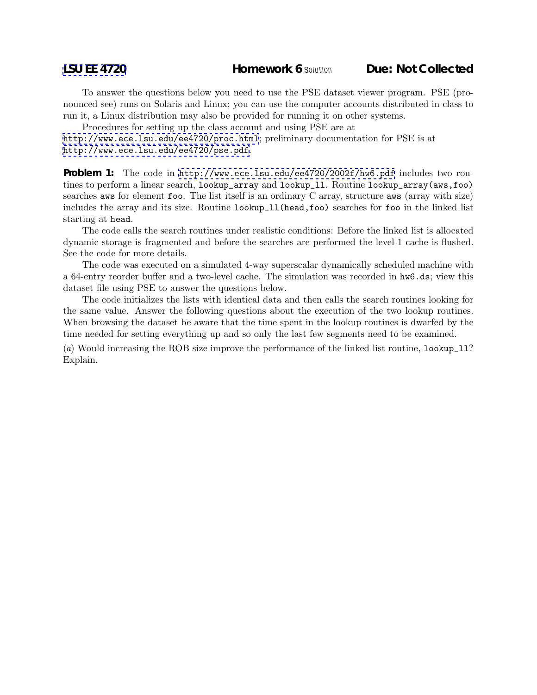To answer the questions below you need to use the PSE dataset viewer program. PSE (pronounced see) runs on Solaris and Linux; you can use the computer accounts distributed in class to run it, a Linux distribution may also be provided for running it on other systems.

Procedures for setting up the class account and using PSE are at <http://www.ece.lsu.edu/ee4720/proc.html>; preliminary documentation for PSE is at <http://www.ece.lsu.edu/ee4720/pse.pdf>.

**Problem 1:** The code in <http://www.ece.lsu.edu/ee4720/2002f/hw6.pdf> includes two routines to perform a linear search, lookup\_array and lookup\_ll. Routine lookup\_array(aws,foo) searches aws for element foo. The list itself is an ordinary C array, structure aws (array with size) includes the array and its size. Routine lookup\_ll(head,foo) searches for foo in the linked list starting at head.

The code calls the search routines under realistic conditions: Before the linked list is allocated dynamic storage is fragmented and before the searches are performed the level-1 cache is flushed. See the code for more details.

The code was executed on a simulated 4-way superscalar dynamically scheduled machine with a 64-entry reorder buffer and a two-level cache. The simulation was recorded in hw6.ds; view this dataset file using PSE to answer the questions below.

The code initializes the lists with identical data and then calls the search routines looking for the same value. Answer the following questions about the execution of the two lookup routines. When browsing the dataset be aware that the time spent in the lookup routines is dwarfed by the time needed for setting everything up and so only the last few segments need to be examined.

(a) Would increasing the ROB size improve the performance of the linked list routine, lookup\_ll? Explain.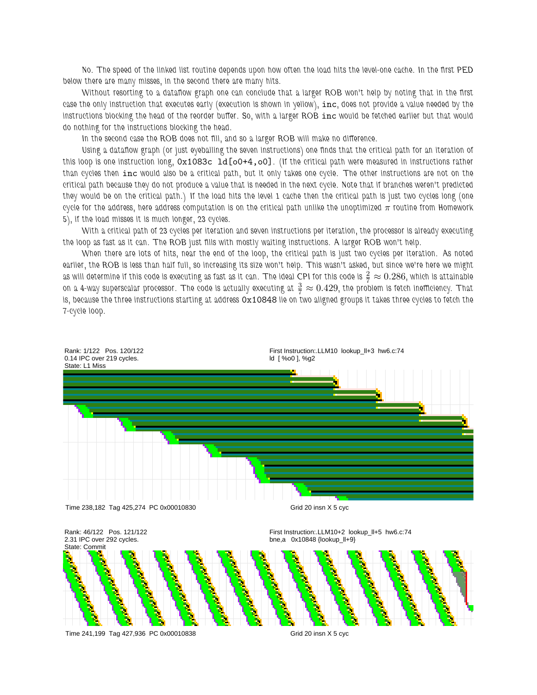*No. The speed of the linked list routine depends upon how often the load hits the level-one cache. In the first PED below there are many misses, in the second there are many hits.*

*Without resorting to a dataflow graph one can conclude that a larger ROB won't help by noting that in the first case the only instruction that executes early (execution is shown in yellow),* inc*, does not provide a value needed by the instructions blocking the head of the reorder buffer. So, with a larger ROB* inc *would be fetched earlier but that would do nothing for the instructions blocking the head.*

*In the second case the ROB does not fill, and so a larger ROB will make no difference.*

*Using a dataflow graph (or just eyeballing the seven instructions) one finds that the critical path for an iteration of this loop is one instruction long,* 0x1083c ld[o0+4,o0]*. (If the critical path were measured in instructions rather than cycles then* inc *would also be a critical path, but it only takes one cycle. The other instructions are not on the critical path because they do not produce a value that is needed in the next cycle. Note that if branches weren't predicted they would be on the critical path.) If the load hits the level 1 cache then the critical path is just two cycles long (one cycle for the address, here address computation is on the critical path unlike the unoptimized*  $π$  *routine from Homework 5), if the load misses it is much longer, 23 cycles.*

*With a critical path of 23 cycles per iteration and seven instructions per iteration, the processor is already executing the loop as fast as it can. The ROB just fills with mostly waiting instructions. A larger ROB won't help.*

*When there are lots of hits, near the end of the loop, the critical path is just two cycles per iteration. As noted earlier, the ROB is less than half full, so increasing its size won't help. This wasn't asked, but since we're here we might* as will determine if this code is executing as fast as it can. The ideal CPI for this code is  $\frac{2}{7}\approx 0.286$ , which is attainable on a 4-way superscalar processor. The code is actually executing at  $\frac{3}{7}\approx 0.429$ , the problem is fetch inefficiency. That *is, because the three instructions starting at address* 0x10848 *lie on two aligned groups it takes three cycles to fetch the 7-cycle loop.*

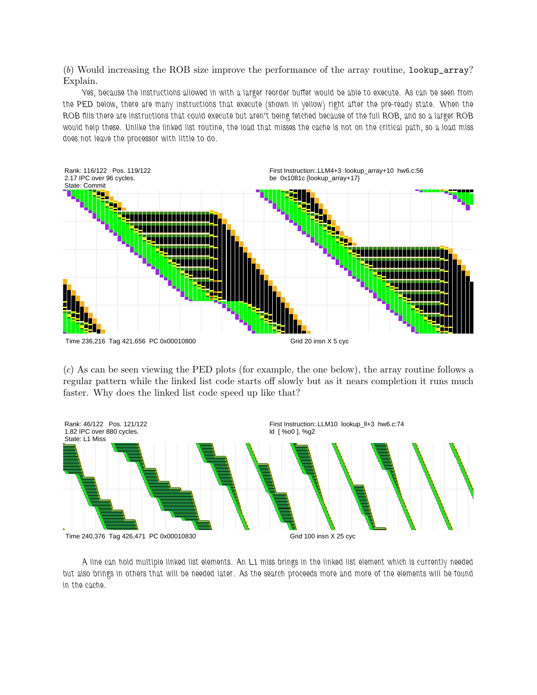(b) Would increasing the ROB size improve the performance of the array routine, lookup\_array? Explain.

*Yes, because the instructions allowed in with a larger reorder buffer would be able to execute. As can be seen from the PED below, there are many instructions that execute (shown in yellow) right after the pre-ready state. When the ROB fills there are instructions that could execute but aren't being fetched because of the full ROB, and so a larger ROB would help these. Unlike the linked list routine, the load that misses the cache is not on the critical path, so a load miss does not leave the processor with little to do.*



(c) As can be seen viewing the PED plots (for example, the one below), the array routine follows a regular pattern while the linked list code starts off slowly but as it nears completion it runs much faster. Why does the linked list code speed up like that?



*A line can hold multiple linked list elements. An L1 miss brings in the linked list element which is currently needed but also brings in others that will be needed later. As the search proceeds more and more of the elements will be found in the cache.*